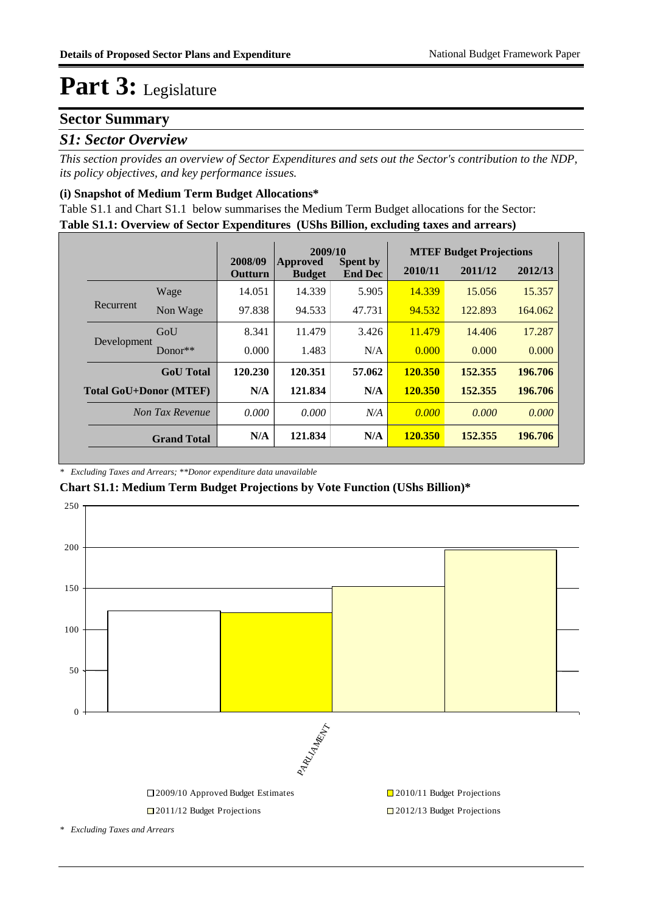### **Sector Summary**

### *S1: Sector Overview*

*This section provides an overview of Sector Expenditures and sets out the Sector's contribution to the NDP, its policy objectives, and key performance issues.* 

#### **(i) Snapshot of Medium Term Budget Allocations\***

**Table S1.1: Overview of Sector Expenditures (UShs Billion, excluding taxes and arrears)** Table S1.1 and Chart S1.1 below summarises the Medium Term Budget allocations for the Sector:

|                               |                  |                           | 2009/10                          |                                   | <b>MTEF Budget Projections</b> |         |         |
|-------------------------------|------------------|---------------------------|----------------------------------|-----------------------------------|--------------------------------|---------|---------|
|                               |                  | 2008/09<br><b>Outturn</b> | <b>Approved</b><br><b>Budget</b> | <b>Spent by</b><br><b>End Dec</b> | 2010/11                        | 2011/12 | 2012/13 |
|                               | Wage             | 14.051                    | 14.339                           | 5.905                             | 14.339                         | 15.056  | 15.357  |
| Recurrent                     | Non Wage         | 97.838                    | 94.533                           | 47.731                            | 94.532                         | 122.893 | 164.062 |
|                               | GoU              | 8.341                     | 11.479                           | 3.426                             | 11.479                         | 14.406  | 17.287  |
| Development                   | $Donor**$        | 0.000                     | 1.483                            | N/A                               | 0.000                          | 0.000   | 0.000   |
|                               | <b>GoU</b> Total | 120.230                   | 120.351                          | 57.062                            | <b>120.350</b>                 | 152.355 | 196.706 |
| <b>Total GoU+Donor (MTEF)</b> |                  | N/A                       | 121.834                          | N/A                               | <b>120.350</b>                 | 152.355 | 196.706 |
| Non Tax Revenue               |                  | 0.000                     | 0.000                            | N/A                               | 0.000                          | 0.000   | 0.000   |
| <b>Grand Total</b>            |                  | N/A                       | 121.834                          | N/A                               | <b>120.350</b>                 | 152.355 | 196.706 |

#### *\* Excluding Taxes and Arrears; \*\*Donor expenditure data unavailable*

#### **Chart S1.1: Medium Term Budget Projections by Vote Function (UShs Billion)\***



*\* Excluding Taxes and Arrears*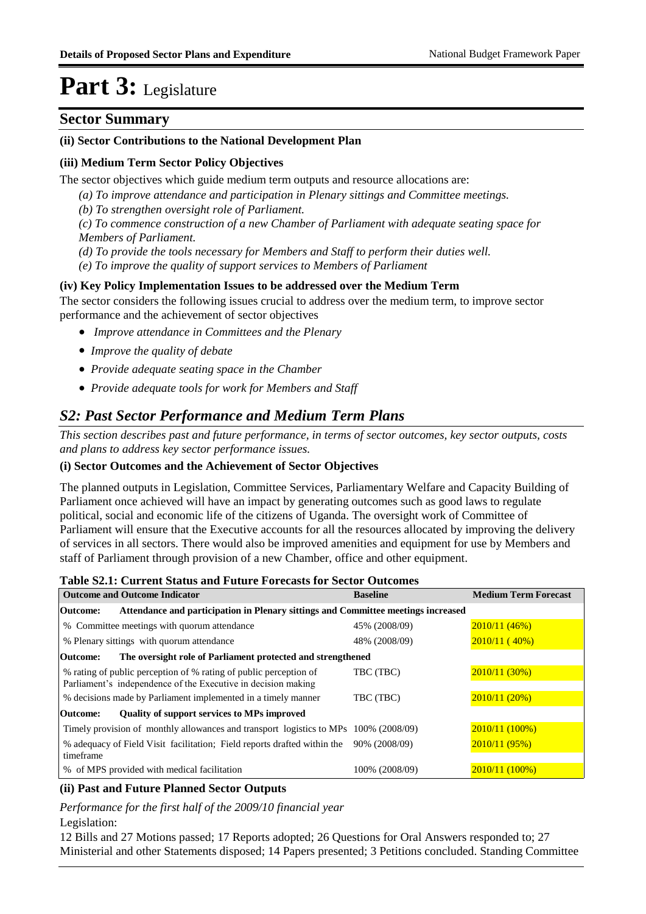### **Sector Summary**

#### **(ii) Sector Contributions to the National Development Plan**

#### **(iii) Medium Term Sector Policy Objectives**

The sector objectives which guide medium term outputs and resource allocations are:

- *(a) To improve attendance and participation in Plenary sittings and Committee meetings.*
- *(b) To strengthen oversight role of Parliament.*

*(c) To commence construction of a new Chamber of Parliament with adequate seating space for Members of Parliament.* 

- *(d) To provide the tools necessary for Members and Staff to perform their duties well.*
- *(e) To improve the quality of support services to Members of Parliament*

#### **(iv) Key Policy Implementation Issues to be addressed over the Medium Term**

The sector considers the following issues crucial to address over the medium term, to improve sector performance and the achievement of sector objectives

- *Improve attendance in Committees and the Plenary*
- *Improve the quality of debate*
- *Provide adequate seating space in the Chamber*
- *Provide adequate tools for work for Members and Staff*

### *S2: Past Sector Performance and Medium Term Plans*

*This section describes past and future performance, in terms of sector outcomes, key sector outputs, costs and plans to address key sector performance issues.* 

#### **(i) Sector Outcomes and the Achievement of Sector Objectives**

The planned outputs in Legislation, Committee Services, Parliamentary Welfare and Capacity Building of Parliament once achieved will have an impact by generating outcomes such as good laws to regulate political, social and economic life of the citizens of Uganda. The oversight work of Committee of Parliament will ensure that the Executive accounts for all the resources allocated by improving the delivery of services in all sectors. There would also be improved amenities and equipment for use by Members and staff of Parliament through provision of a new Chamber, office and other equipment.

#### **Table S2.1: Current Status and Future Forecasts for Sector Outcomes**

| <b>Outcome and Outcome Indicator</b>                                                          | <b>Baseline</b> | <b>Medium Term Forecast</b> |
|-----------------------------------------------------------------------------------------------|-----------------|-----------------------------|
| Attendance and participation in Plenary sittings and Committee meetings increased<br>Outcome: |                 |                             |
| % Committee meetings with quorum attendance                                                   | 45% (2008/09)   | 2010/11(46%)                |
| % Plenary sittings with quorum attendance                                                     | 48% (2008/09)   | 2010/11(40%)                |
| The oversight role of Parliament protected and strengthened<br>Outcome:                       |                 |                             |
| % rating of public perception of % rating of public perception of                             | TBC (TBC)       | 2010/11(30%)                |
| Parliament's independence of the Executive in decision making                                 |                 |                             |
| % decisions made by Parliament implemented in a timely manner                                 | TBC (TBC)       | 2010/11(20%)                |
| Quality of support services to MPs improved<br>Outcome:                                       |                 |                             |
| Timely provision of monthly allowances and transport logistics to MPs 100% (2008/09)          |                 | 2010/11 (100%)              |
| % adequacy of Field Visit facilitation; Field reports drafted within the                      | 90% (2008/09)   | 2010/11(95%)                |
| timeframe                                                                                     |                 |                             |
| % of MPS provided with medical facilitation                                                   | 100% (2008/09)  | 2010/11 (100%)              |

#### **(ii) Past and Future Planned Sector Outputs**

*Performance for the first half of the 2009/10 financial year*

Legislation:

12 Bills and 27 Motions passed; 17 Reports adopted; 26 Questions for Oral Answers responded to; 27 Ministerial and other Statements disposed; 14 Papers presented; 3 Petitions concluded. Standing Committee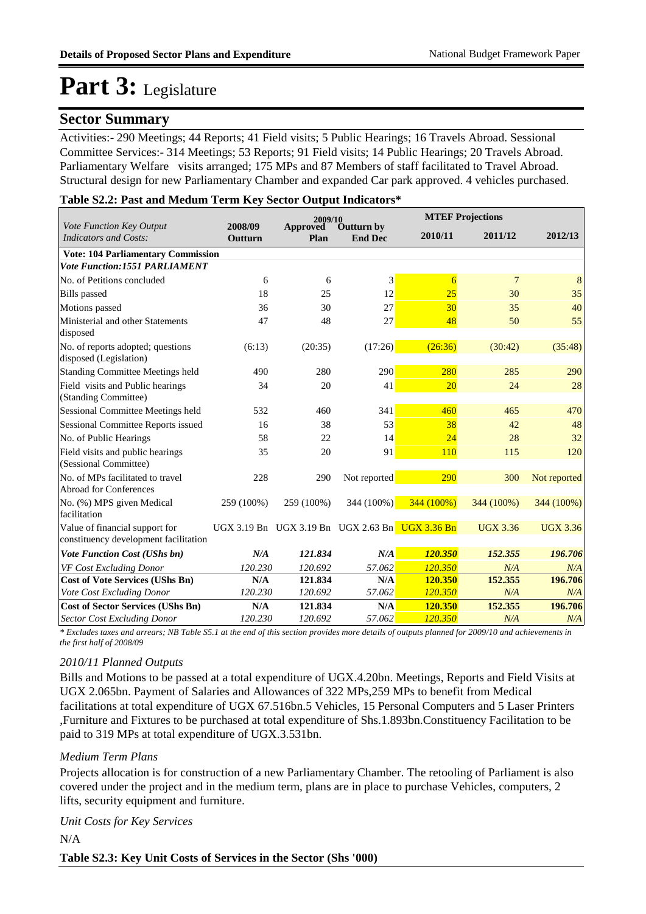### **Sector Summary**

Activities:- 290 Meetings; 44 Reports; 41 Field visits; 5 Public Hearings; 16 Travels Abroad. Sessional Committee Services:- 314 Meetings; 53 Reports; 91 Field visits; 14 Public Hearings; 20 Travels Abroad. Parliamentary Welfare visits arranged; 175 MPs and 87 Members of staff facilitated to Travel Abroad. Structural design for new Parliamentary Chamber and expanded Car park approved. 4 vehicles purchased.

#### **Table S2.2: Past and Medum Term Key Sector Output Indicators\***

|                                                                         |                    | 2009/10          |                                                 | <b>MTEF Projections</b> |                 |                 |  |
|-------------------------------------------------------------------------|--------------------|------------------|-------------------------------------------------|-------------------------|-----------------|-----------------|--|
| Vote Function Key Output<br><b>Indicators and Costs:</b>                | 2008/09<br>Outturn | Approved<br>Plan | Outturn by<br><b>End Dec</b>                    | 2010/11                 | 2011/12         | 2012/13         |  |
| <b>Vote: 104 Parliamentary Commission</b>                               |                    |                  |                                                 |                         |                 |                 |  |
| <b>Vote Function:1551 PARLIAMENT</b>                                    |                    |                  |                                                 |                         |                 |                 |  |
| No. of Petitions concluded                                              | 6                  | 6                | 3                                               | 6                       | $\overline{7}$  | 8               |  |
| <b>Bills</b> passed                                                     | 18                 | 25               | 12                                              | 25                      | 30              | 35              |  |
| Motions passed                                                          | 36                 | 30               | 27                                              | 30                      | 35              | 40              |  |
| Ministerial and other Statements<br>disposed                            | 47                 | 48               | 27                                              | 48                      | 50              | 55              |  |
| No. of reports adopted; questions<br>disposed (Legislation)             | (6:13)             | (20:35)          | (17:26)                                         | (26:36)                 | (30:42)         | (35:48)         |  |
| <b>Standing Committee Meetings held</b>                                 | 490                | 280              | 290                                             | 280                     | 285             | 290             |  |
| Field visits and Public hearings<br>(Standing Committee)                | 34                 | 20               | 41                                              | 20                      | 24              | 28              |  |
| Sessional Committee Meetings held                                       | 532                | 460              | 341                                             | 460                     | 465             | 470             |  |
| <b>Sessional Committee Reports issued</b>                               | 16                 | 38               | 53                                              | 38                      | 42              | 48              |  |
| No. of Public Hearings                                                  | 58                 | 22               | 14                                              | 24                      | 28              | 32              |  |
| Field visits and public hearings<br>(Sessional Committee)               | 35                 | 20               | 91                                              | <b>110</b>              | 115             | 120             |  |
| No. of MPs facilitated to travel<br>Abroad for Conferences              | 228                | 290              | Not reported                                    | 290                     | 300             | Not reported    |  |
| No. (%) MPS given Medical<br>facilitation                               | 259 (100%)         | 259 (100%)       | 344 (100%)                                      | 344 (100%)              | 344 (100%)      | 344 (100%)      |  |
| Value of financial support for<br>constituency development facilitation |                    |                  | UGX 3.19 Bn UGX 3.19 Bn UGX 2.63 Bn UGX 3.36 Bn |                         | <b>UGX 3.36</b> | <b>UGX 3.36</b> |  |
| Vote Function Cost (UShs bn)                                            | N/A                | 121.834          | N/A                                             | 120.350                 | 152.355         | 196.706         |  |
| VF Cost Excluding Donor                                                 | 120.230            | 120.692          | 57.062                                          | 120.350                 | N/A             | N/A             |  |
| <b>Cost of Vote Services (UShs Bn)</b>                                  | N/A                | 121.834          | N/A                                             | 120.350                 | 152.355         | 196.706         |  |
| Vote Cost Excluding Donor                                               | 120.230            | 120.692          | 57.062                                          | 120.350                 | N/A             | N/A             |  |
| <b>Cost of Sector Services (UShs Bn)</b>                                | N/A                | 121.834          | N/A                                             | 120.350                 | 152.355         | 196.706         |  |
| <b>Sector Cost Excluding Donor</b>                                      | 120.230            | 120.692          | 57.062                                          | 120.350                 | N/A             | N/A             |  |

*\* Excludes taxes and arrears; NB Table S5.1 at the end of this section provides more details of outputs planned for 2009/10 and achievements in the first half of 2008/09*

#### *2010/11 Planned Outputs*

Bills and Motions to be passed at a total expenditure of UGX.4.20bn. Meetings, Reports and Field Visits at UGX 2.065bn. Payment of Salaries and Allowances of 322 MPs,259 MPs to benefit from Medical facilitations at total expenditure of UGX 67.516bn.5 Vehicles, 15 Personal Computers and 5 Laser Printers ,Furniture and Fixtures to be purchased at total expenditure of Shs.1.893bn.Constituency Facilitation to be paid to 319 MPs at total expenditure of UGX.3.531bn.

#### *Medium Term Plans*

Projects allocation is for construction of a new Parliamentary Chamber. The retooling of Parliament is also covered under the project and in the medium term, plans are in place to purchase Vehicles, computers, 2 lifts, security equipment and furniture.

#### *Unit Costs for Key Services*

N/A

**Table S2.3: Key Unit Costs of Services in the Sector (Shs '000)**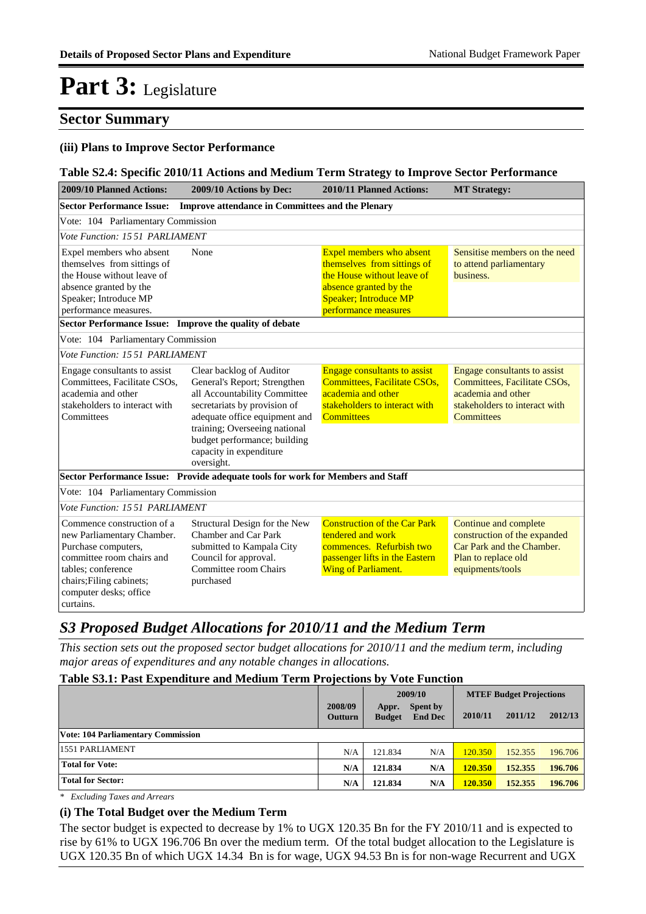### **Sector Summary**

#### **(iii) Plans to Improve Sector Performance**

#### **Table S2.4: Specific 2010/11 Actions and Medium Term Strategy to Improve Sector Performance**

| 2009/10 Planned Actions:<br>2009/10 Actions by Dec:                                                                                                                                                   |                                                                                                                                                                                                                                                                     | 2010/11 Planned Actions:                                                                                                                                                | <b>MT Strategy:</b>                                                                                                                      |  |  |  |  |
|-------------------------------------------------------------------------------------------------------------------------------------------------------------------------------------------------------|---------------------------------------------------------------------------------------------------------------------------------------------------------------------------------------------------------------------------------------------------------------------|-------------------------------------------------------------------------------------------------------------------------------------------------------------------------|------------------------------------------------------------------------------------------------------------------------------------------|--|--|--|--|
| <b>Sector Performance Issue:</b>                                                                                                                                                                      | <b>Improve attendance in Committees and the Plenary</b>                                                                                                                                                                                                             |                                                                                                                                                                         |                                                                                                                                          |  |  |  |  |
| Vote: 104 Parliamentary Commission                                                                                                                                                                    |                                                                                                                                                                                                                                                                     |                                                                                                                                                                         |                                                                                                                                          |  |  |  |  |
| Vote Function: 1551 PARLIAMENT                                                                                                                                                                        |                                                                                                                                                                                                                                                                     |                                                                                                                                                                         |                                                                                                                                          |  |  |  |  |
| Expel members who absent<br>themselves from sittings of<br>the House without leave of<br>absence granted by the<br>Speaker; Introduce MP<br>performance measures.                                     | None                                                                                                                                                                                                                                                                | Expel members who absent<br>themselves from sittings of<br>the House without leave of<br>absence granted by the<br><b>Speaker; Introduce MP</b><br>performance measures | Sensitise members on the need<br>to attend parliamentary<br>business.                                                                    |  |  |  |  |
| Sector Performance Issue: Improve the quality of debate                                                                                                                                               |                                                                                                                                                                                                                                                                     |                                                                                                                                                                         |                                                                                                                                          |  |  |  |  |
| Vote: 104 Parliamentary Commission                                                                                                                                                                    |                                                                                                                                                                                                                                                                     |                                                                                                                                                                         |                                                                                                                                          |  |  |  |  |
| Vote Function: 1551 PARLIAMENT                                                                                                                                                                        |                                                                                                                                                                                                                                                                     |                                                                                                                                                                         |                                                                                                                                          |  |  |  |  |
| Engage consultants to assist<br>Committees, Facilitate CSOs,<br>academia and other<br>stakeholders to interact with<br>Committees                                                                     | Clear backlog of Auditor<br>General's Report; Strengthen<br>all Accountability Committee<br>secretariats by provision of<br>adequate office equipment and<br>training; Overseeing national<br>budget performance; building<br>capacity in expenditure<br>oversight. | <b>Engage consultants to assist</b><br>Committees, Facilitate CSOs,<br>academia and other<br>stakeholders to interact with<br><b>Committees</b>                         | Engage consultants to assist<br>Committees, Facilitate CSOs,<br>academia and other<br>stakeholders to interact with<br><b>Committees</b> |  |  |  |  |
|                                                                                                                                                                                                       | Sector Performance Issue: Provide adequate tools for work for Members and Staff                                                                                                                                                                                     |                                                                                                                                                                         |                                                                                                                                          |  |  |  |  |
| Vote: 104 Parliamentary Commission                                                                                                                                                                    |                                                                                                                                                                                                                                                                     |                                                                                                                                                                         |                                                                                                                                          |  |  |  |  |
| Vote Function: 1551 PARLIAMENT                                                                                                                                                                        |                                                                                                                                                                                                                                                                     |                                                                                                                                                                         |                                                                                                                                          |  |  |  |  |
| Commence construction of a<br>new Parliamentary Chamber.<br>Purchase computers,<br>committee room chairs and<br>tables; conference<br>chairs; Filing cabinets;<br>computer desks; office<br>curtains. | Structural Design for the New<br>Chamber and Car Park<br>submitted to Kampala City<br>Council for approval.<br>Committee room Chairs<br>purchased                                                                                                                   | <b>Construction of the Car Park</b><br>tendered and work<br>commences. Refurbish two<br>passenger lifts in the Eastern<br>Wing of Parliament.                           | Continue and complete<br>construction of the expanded<br>Car Park and the Chamber.<br>Plan to replace old<br>equipments/tools            |  |  |  |  |

## *S3 Proposed Budget Allocations for 2010/11 and the Medium Term*

*This section sets out the proposed sector budget allocations for 2010/11 and the medium term, including major areas of expenditures and any notable changes in allocations.* 

#### **Table S3.1: Past Expenditure and Medium Term Projections by Vote Function**

|                                           |                           | 2009/10                |                            | <b>MTEF Budget Projections</b> |         |         |
|-------------------------------------------|---------------------------|------------------------|----------------------------|--------------------------------|---------|---------|
|                                           | 2008/09<br><b>Outturn</b> | Appr.<br><b>Budget</b> | Spent by<br><b>End Dec</b> | 2010/11                        | 2011/12 | 2012/13 |
| <b>Vote: 104 Parliamentary Commission</b> |                           |                        |                            |                                |         |         |
| 1551 PARLIAMENT                           | N/A                       | 121.834                | N/A                        | 120.350                        | 152.355 | 196.706 |
| <b>Total for Vote:</b>                    | N/A                       | 121.834                | N/A                        | 120.350                        | 152.355 | 196.706 |
| <b>Total for Sector:</b>                  | N/A                       | 121.834                | N/A                        | 120.350                        | 152,355 | 196.706 |

*\* Excluding Taxes and Arrears*

#### **(i) The Total Budget over the Medium Term**

The sector budget is expected to decrease by 1% to UGX 120.35 Bn for the FY 2010/11 and is expected to rise by 61% to UGX 196.706 Bn over the medium term. Of the total budget allocation to the Legislature is UGX 120.35 Bn of which UGX 14.34 Bn is for wage, UGX 94.53 Bn is for non-wage Recurrent and UGX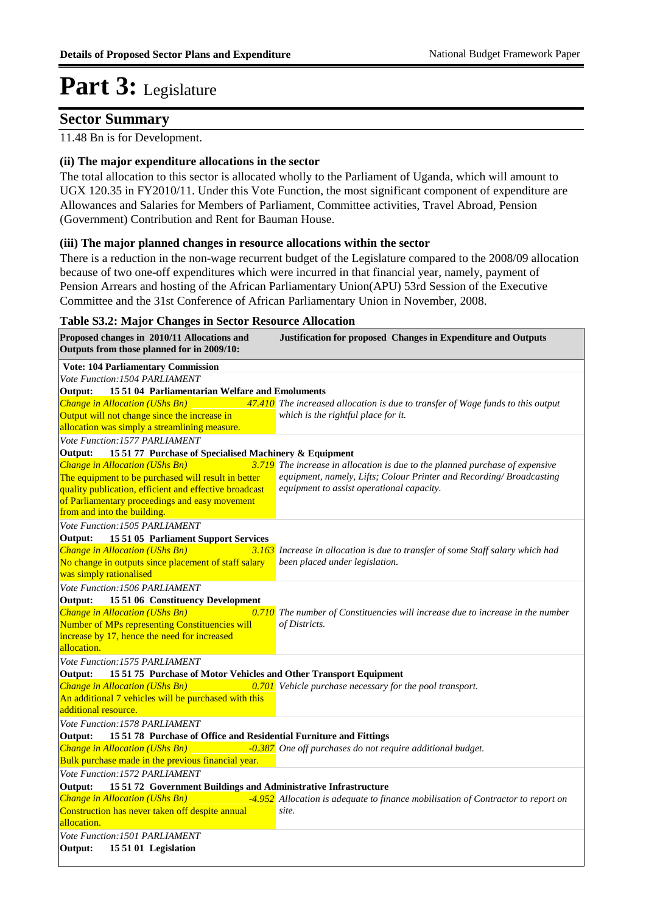### **Sector Summary**

#### 11.48 Bn is for Development.

#### **(ii) The major expenditure allocations in the sector**

The total allocation to this sector is allocated wholly to the Parliament of Uganda, which will amount to UGX 120.35 in FY2010/11. Under this Vote Function, the most significant component of expenditure are Allowances and Salaries for Members of Parliament, Committee activities, Travel Abroad, Pension (Government) Contribution and Rent for Bauman House.

#### **(iii) The major planned changes in resource allocations within the sector**

There is a reduction in the non-wage recurrent budget of the Legislature compared to the 2008/09 allocation because of two one-off expenditures which were incurred in that financial year, namely, payment of Pension Arrears and hosting of the African Parliamentary Union(APU) 53rd Session of the Executive Committee and the 31st Conference of African Parliamentary Union in November, 2008.

#### **Table S3.2: Major Changes in Sector Resource Allocation**

**Proposed changes in 2010/11 Allocations and Justification for proposed Changes in Expenditure and Outputs Outputs from those planned for in 2009/10: Vote: 104 Parliamentary Commission** *Change in Allocation (UShs Bn)* Output will not change since the increase in allocation was simply a streamlining measure. **47.410** The increased allocation is due to transfer of Wage funds to this output *which is the rightful place for it.* **Output: 15 51 04 Parliamentarian Welfare and Emoluments** *Vote Function:1504 PARLIAMENT Change in Allocation (UShs Bn) 3.719* The equipment to be purchased will result in better quality publication, efficient and effective broadcast of Parliamentary proceedings and easy movement from and into the building. **The increase in allocation is due to the planned purchase of expensive**  $\frac{3.719}{2.719}$  The increase in allocation is due to the planned purchase of expensive *equipment, namely, Lifts; Colour Printer and Recording/ Broadcasting equipment to assist operational capacity.* **Output: 15 51 77 Purchase of Specialised Machinery & Equipment** *Vote Function:1577 PARLIAMENT Change in Allocation (UShs Bn)* No change in outputs since placement of staff salary was simply rationalised *Increase in allocation is due to transfer of some Staff salary which had been placed under legislation.* **Output: 15 51 05 Parliament Support Services** *Vote Function:1505 PARLIAMENT Change in Allocation (UShs Bn)* Number of MPs representing Constituencies will increase by 17, hence the need for increased allocation. *The number of Constituencies will increase due to increase in the number of Districts.* **Output: 15 51 06 Constituency Development** *Vote Function:1506 PARLIAMENT Change in Allocation (UShs Bn) 0.701 Vehicle purchase necessary for the pool transport.* An additional 7 vehicles will be purchased with this additional resource. **Output: 15 51 75 Purchase of Motor Vehicles and Other Transport Equipment** *Vote Function:1575 PARLIAMENT Change in Allocation (UShs Bn) -0.387 One off purchases do not require additional budget.* Bulk purchase made in the previous financial year. **Output: 15 51 78 Purchase of Office and Residential Furniture and Fittings** *Vote Function:1578 PARLIAMENT Change in Allocation (UShs Bn) -4.952* Construction has never taken off despite annual allocation. <sup>4.952</sup> Allocation is adequate to finance mobilisation of Contractor to report on *site.* **Output: 15 51 72 Government Buildings and Administrative Infrastructure** *Vote Function:1572 PARLIAMENT* **Output: 15 51 01 Legislation** *Vote Function:1501 PARLIAMENT*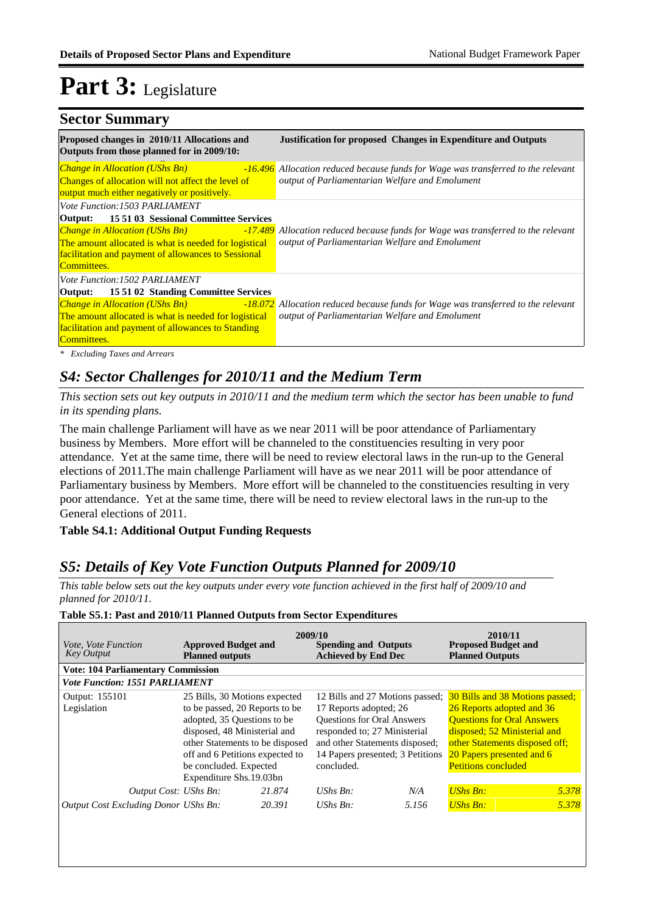### **Sector Summary**

| Proposed changes in 2010/11 Allocations and<br>Outputs from those planned for in 2009/10:                                                                                                                                  | <b>Justification for proposed Changes in Expenditure and Outputs</b>                                                                                                         |
|----------------------------------------------------------------------------------------------------------------------------------------------------------------------------------------------------------------------------|------------------------------------------------------------------------------------------------------------------------------------------------------------------------------|
| <b>Change in Allocation (UShs Bn)</b><br>Changes of allocation will not affect the level of                                                                                                                                | -16.496 Allocation reduced because funds for Wage was transferred to the relevant<br>output of Parliamentarian Welfare and Emolument                                         |
| output much either negatively or positively.                                                                                                                                                                               |                                                                                                                                                                              |
| Vote Function:1503 PARLIAMENT                                                                                                                                                                                              |                                                                                                                                                                              |
| <b>Output:</b> 15 51 03 Sessional Committee Services<br>The amount allocated is what is needed for logistical<br><b>facilitation and payment of allowances to Sessional</b><br>Committees.                                 | <b>Change in Allocation (UShs Bn)</b> $-17.489$ Allocation reduced because funds for Wage was transferred to the relevant<br>output of Parliamentarian Welfare and Emolument |
| <i>Vote Function:1502 PARLIAMENT</i>                                                                                                                                                                                       |                                                                                                                                                                              |
| <b>Output:</b> 15 51 02 Standing Committee Services<br><b>Change in Allocation (UShs Bn)</b><br>The amount allocated is what is needed for logistical<br>facilitation and payment of allowances to Standing<br>Committees. | -18.072 Allocation reduced because funds for Wage was transferred to the relevant<br>output of Parliamentarian Welfare and Emolument                                         |

## *S4: Sector Challenges for 2010/11 and the Medium Term*

*This section sets out key outputs in 2010/11 and the medium term which the sector has been unable to fund in its spending plans.*

The main challenge Parliament will have as we near 2011 will be poor attendance of Parliamentary business by Members. More effort will be channeled to the constituencies resulting in very poor attendance. Yet at the same time, there will be need to review electoral laws in the run-up to the General elections of 2011.The main challenge Parliament will have as we near 2011 will be poor attendance of Parliamentary business by Members. More effort will be channeled to the constituencies resulting in very poor attendance. Yet at the same time, there will be need to review electoral laws in the run-up to the General elections of 2011.

#### **Table S4.1: Additional Output Funding Requests**

### *S5: Details of Key Vote Function Outputs Planned for 2009/10*

*This table below sets out the key outputs under every vote function achieved in the first half of 2009/10 and planned for 2010/11.*

#### **Spending and Outputs Achieved by End Dec Approved Budget and Planned outputs Proposed Budget and Planned Outputs 2009/10** *Vote, Vote Function Key Output* **2010/11 Vote: 104 Parliamentary Commission** *Vote Function: 1551 PARLIAMENT* Legislation 25 Bills, 30 Motions expected to be passed, 20 Reports to be adopted, 35 Questions to be disposed, 48 Ministerial and other Statements to be disposed off and 6 Petitions expected to be concluded. Expected Expenditure Shs.19.03bn 12 Bills and 27 Motions passed; 30 Bills and 38 Motions passed; 17 Reports adopted; 26 Questions for Oral Answers responded to; 27 Ministerial and other Statements disposed; 14 Papers presented; 3 Petitions concluded. 26 Reports adopted and 36 Questions for Oral Answers disposed; 52 Ministerial and other Statements disposed off; 20 Papers presented and 6 **Petitions concluded** Output: 155101 *21.874 N/A 5.378 Output Cost Excluding Donor UShs Bn: 20.391 UShs Bn: 5.156 UShs Bn: 5.378 Output Cost: UShs Bn: UShs Bn: UShs Bn:*

#### **Table S5.1: Past and 2010/11 Planned Outputs from Sector Expenditures**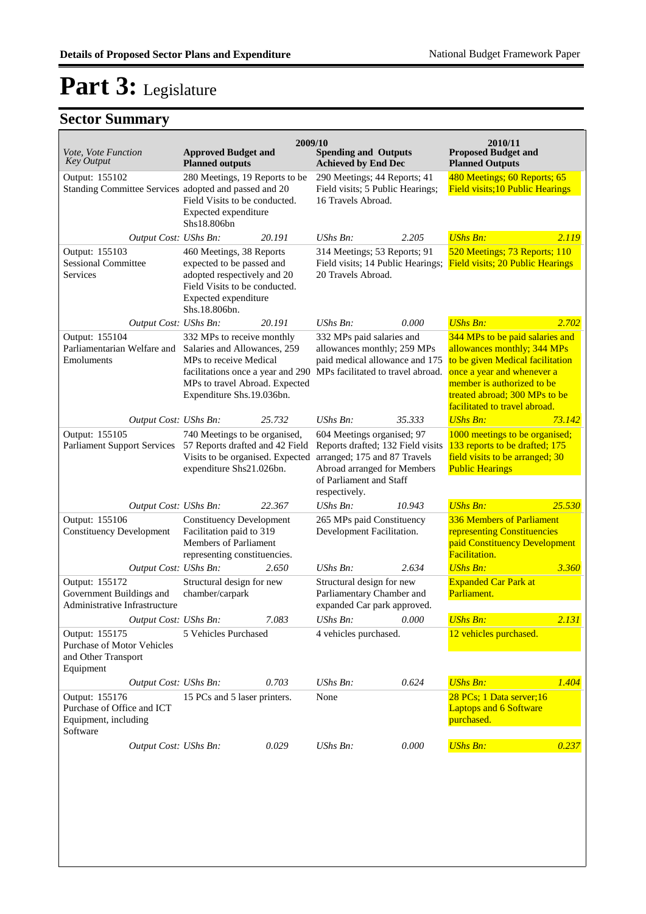## **Sector Summary**

| <i>Vote, Vote Function</i><br><b>Key Output</b>                                                                                                                                          | <b>Approved Budget and</b><br><b>Planned outputs</b>                                                                                                                                                 | 2009/10                                                                                                                                                                    | <b>Spending and Outputs</b><br><b>Achieved by End Dec</b>                                                                       |                                                                                                                               | 2010/11<br><b>Proposed Budget and</b><br><b>Planned Outputs</b>                                                                                                                                                                  |        |
|------------------------------------------------------------------------------------------------------------------------------------------------------------------------------------------|------------------------------------------------------------------------------------------------------------------------------------------------------------------------------------------------------|----------------------------------------------------------------------------------------------------------------------------------------------------------------------------|---------------------------------------------------------------------------------------------------------------------------------|-------------------------------------------------------------------------------------------------------------------------------|----------------------------------------------------------------------------------------------------------------------------------------------------------------------------------------------------------------------------------|--------|
| Output: 155102<br>Standing Committee Services adopted and passed and 20                                                                                                                  | 280 Meetings, 19 Reports to be<br>Field Visits to be conducted.<br>Expected expenditure<br>Shs18.806bn                                                                                               |                                                                                                                                                                            | 290 Meetings; 44 Reports; 41<br>Field visits; 5 Public Hearings;<br>16 Travels Abroad.                                          |                                                                                                                               | 480 Meetings; 60 Reports; 65<br><b>Field visits; 10 Public Hearings</b>                                                                                                                                                          |        |
| Output Cost: UShs Bn:                                                                                                                                                                    |                                                                                                                                                                                                      | 20.191                                                                                                                                                                     | $UShs Bn$ :                                                                                                                     | 2.205                                                                                                                         | <b>UShs Bn:</b>                                                                                                                                                                                                                  | 2.119  |
| Output: 155103<br><b>Sessional Committee</b><br>Services                                                                                                                                 | 460 Meetings, 38 Reports<br>expected to be passed and<br>adopted respectively and 20<br>Field Visits to be conducted.<br>Expected expenditure<br>Shs.18.806bn.                                       |                                                                                                                                                                            | 314 Meetings; 53 Reports; 91<br>Field visits; 14 Public Hearings;<br>20 Travels Abroad.                                         |                                                                                                                               | 520 Meetings; 73 Reports; 110<br><b>Field visits; 20 Public Hearings</b>                                                                                                                                                         |        |
| Output Cost: UShs Bn:                                                                                                                                                                    |                                                                                                                                                                                                      | 20.191                                                                                                                                                                     | $UShs Bn$ :                                                                                                                     | 0.000                                                                                                                         | <b>UShs Bn:</b>                                                                                                                                                                                                                  | 2.702  |
| Output: 155104<br>Parliamentarian Welfare and<br>Emoluments                                                                                                                              | 332 MPs to receive monthly<br>Salaries and Allowances, 259<br>MP <sub>s</sub> to receive Medical<br>facilitations once a year and 290<br>MPs to travel Abroad. Expected<br>Expenditure Shs.19.036bn. |                                                                                                                                                                            | 332 MPs paid salaries and<br>allowances monthly; 259 MPs<br>paid medical allowance and 175<br>MPs facilitated to travel abroad. |                                                                                                                               | 344 MPs to be paid salaries and<br>allowances monthly; 344 MPs<br>to be given Medical facilitation<br>once a year and whenever a<br>member is authorized to be<br>treated abroad; 300 MPs to be<br>facilitated to travel abroad. |        |
| Output Cost: UShs Bn:                                                                                                                                                                    |                                                                                                                                                                                                      | 25.732                                                                                                                                                                     | UShs Bn:                                                                                                                        | 35.333                                                                                                                        | <b>UShs Bn:</b>                                                                                                                                                                                                                  | 73.142 |
| Output: 155105<br>740 Meetings to be organised,<br><b>Parliament Support Services</b><br>57 Reports drafted and 42 Field<br>Visits to be organised. Expected<br>expenditure Shs21.026bn. |                                                                                                                                                                                                      | 604 Meetings organised; 97<br>Reports drafted; 132 Field visits<br>arranged; 175 and 87 Travels<br>Abroad arranged for Members<br>of Parliament and Staff<br>respectively. |                                                                                                                                 | 1000 meetings to be organised;<br>133 reports to be drafted; 175<br>field visits to be arranged; 30<br><b>Public Hearings</b> |                                                                                                                                                                                                                                  |        |
| Output Cost: UShs Bn:                                                                                                                                                                    |                                                                                                                                                                                                      | 22.367                                                                                                                                                                     | UShs Bn:                                                                                                                        | 10.943                                                                                                                        | <b>UShs Bn:</b>                                                                                                                                                                                                                  | 25.530 |
| Output: 155106<br><b>Constituency Development</b>                                                                                                                                        | <b>Constituency Development</b><br>Facilitation paid to 319<br>Members of Parliament<br>representing constituencies.                                                                                 |                                                                                                                                                                            | 265 MPs paid Constituency<br>Development Facilitation.                                                                          |                                                                                                                               | 336 Members of Parliament<br>representing Constituencies<br>paid Constituency Development<br><b>Facilitation.</b>                                                                                                                |        |
| Output Cost: UShs Bn:                                                                                                                                                                    |                                                                                                                                                                                                      | 2.650                                                                                                                                                                      | $UShs Bn$ :                                                                                                                     | 2.634                                                                                                                         | <b>UShs Bn:</b>                                                                                                                                                                                                                  | 3.360  |
| Output: 155172<br>Government Buildings and<br>Administrative Infrastructure                                                                                                              | Structural design for new<br>chamber/carpark                                                                                                                                                         |                                                                                                                                                                            | Structural design for new<br>Parliamentary Chamber and<br>expanded Car park approved.                                           |                                                                                                                               | <b>Expanded Car Park at</b><br>Parliament.                                                                                                                                                                                       |        |
| Output Cost: UShs Bn:                                                                                                                                                                    |                                                                                                                                                                                                      | 7.083                                                                                                                                                                      | UShs Bn:                                                                                                                        | 0.000                                                                                                                         | <b>UShs Bn:</b>                                                                                                                                                                                                                  | 2.131  |
| Output: 155175<br><b>Purchase of Motor Vehicles</b><br>and Other Transport<br>Equipment                                                                                                  | 5 Vehicles Purchased                                                                                                                                                                                 |                                                                                                                                                                            | 4 vehicles purchased.                                                                                                           |                                                                                                                               | 12 vehicles purchased.                                                                                                                                                                                                           |        |
| Output Cost: UShs Bn:                                                                                                                                                                    |                                                                                                                                                                                                      | 0.703                                                                                                                                                                      | UShs Bn:                                                                                                                        | 0.624                                                                                                                         | <b>UShs Bn:</b>                                                                                                                                                                                                                  | 1.404  |
| Output: 155176<br>Purchase of Office and ICT<br>Equipment, including<br>Software                                                                                                         | 15 PCs and 5 laser printers.                                                                                                                                                                         |                                                                                                                                                                            | None                                                                                                                            |                                                                                                                               | 28 PCs; 1 Data server; 16<br><b>Laptops and 6 Software</b><br>purchased.                                                                                                                                                         |        |
| Output Cost: UShs Bn:                                                                                                                                                                    |                                                                                                                                                                                                      | 0.029                                                                                                                                                                      | $UShs Bn$ :                                                                                                                     | 0.000                                                                                                                         | <b>UShs Bn:</b>                                                                                                                                                                                                                  | 0.237  |
|                                                                                                                                                                                          |                                                                                                                                                                                                      |                                                                                                                                                                            |                                                                                                                                 |                                                                                                                               |                                                                                                                                                                                                                                  |        |